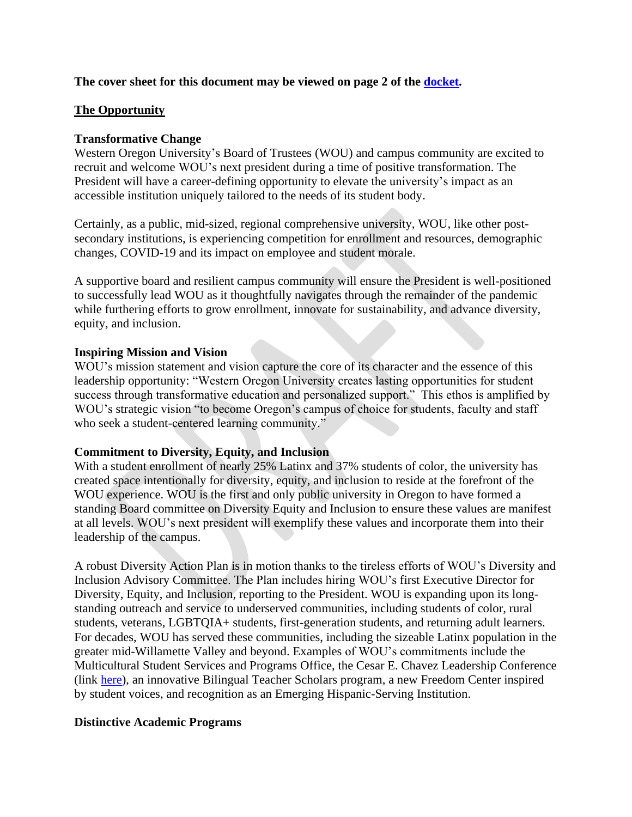### **The cover sheet for this document may be viewed on page 2 of the [docket.](https://wou.edu/board/files/2021/12/Board-Meeting-Docket-Mtg-No.-44-Dec-14-2021-120621.pdf)**

### **The Opportunity**

### **Transformative Change**

Western Oregon University's Board of Trustees (WOU) and campus community are excited to recruit and welcome WOU's next president during a time of positive transformation. The President will have a career-defining opportunity to elevate the university's impact as an accessible institution uniquely tailored to the needs of its student body.

Certainly, as a public, mid-sized, regional comprehensive university, WOU, like other postsecondary institutions, is experiencing competition for enrollment and resources, demographic changes, COVID-19 and its impact on employee and student morale.

A supportive board and resilient campus community will ensure the President is well-positioned to successfully lead WOU as it thoughtfully navigates through the remainder of the pandemic while furthering efforts to grow enrollment, innovate for sustainability, and advance diversity, equity, and inclusion.

### **Inspiring Mission and Vision**

WOU's mission statement and vision capture the core of its character and the essence of this leadership opportunity: "Western Oregon University creates lasting opportunities for student success through transformative education and personalized support." This ethos is amplified by WOU's strategic vision "to become Oregon's campus of choice for students, faculty and staff who seek a student-centered learning community."

### **Commitment to Diversity, Equity, and Inclusion**

With a student enrollment of nearly 25% Latinx and 37% students of color, the university has created space intentionally for diversity, equity, and inclusion to reside at the forefront of the WOU experience. WOU is the first and only public university in Oregon to have formed a standing Board committee on Diversity Equity and Inclusion to ensure these values are manifest at all levels. WOU's next president will exemplify these values and incorporate them into their leadership of the campus.

A robust Diversity Action Plan is in motion thanks to the tireless efforts of WOU's Diversity and Inclusion Advisory Committee. The Plan includes hiring WOU's first Executive Director for Diversity, Equity, and Inclusion, reporting to the President. WOU is expanding upon its longstanding outreach and service to underserved communities, including students of color, rural students, veterans, LGBTQIA+ students, first-generation students, and returning adult learners. For decades, WOU has served these communities, including the sizeable Latinx population in the greater mid-Willamette Valley and beyond. Examples of WOU's commitments include the Multicultural Student Services and Programs Office, the Cesar E. Chavez Leadership Conference (link [here\)](https://wou.edu/ceclc/), an innovative Bilingual Teacher Scholars program, a new Freedom Center inspired by student voices, and recognition as an Emerging Hispanic-Serving Institution.

### **Distinctive Academic Programs**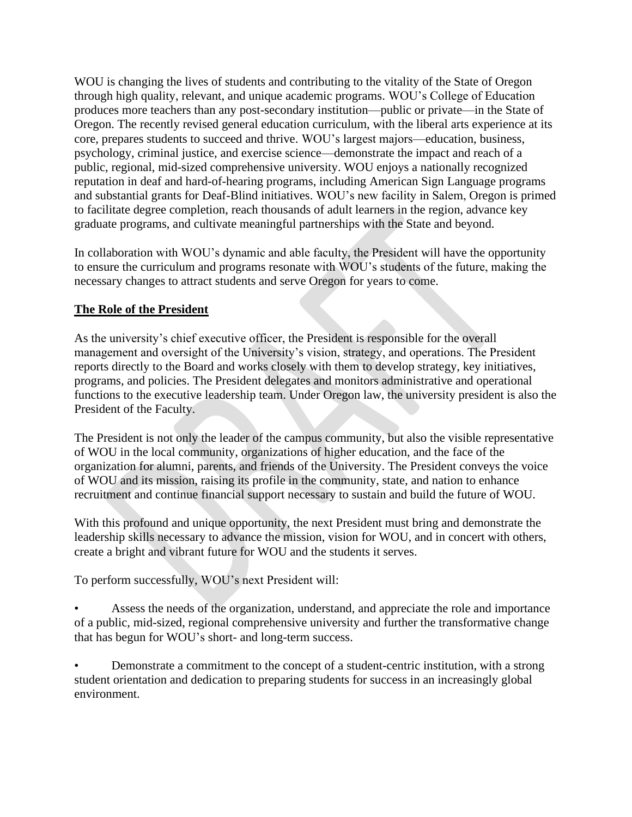WOU is changing the lives of students and contributing to the vitality of the State of Oregon through high quality, relevant, and unique academic programs. WOU's College of Education produces more teachers than any post-secondary institution—public or private—in the State of Oregon. The recently revised general education curriculum, with the liberal arts experience at its core, prepares students to succeed and thrive. WOU's largest majors—education, business, psychology, criminal justice, and exercise science—demonstrate the impact and reach of a public, regional, mid-sized comprehensive university. WOU enjoys a nationally recognized reputation in deaf and hard-of-hearing programs, including American Sign Language programs and substantial grants for Deaf-Blind initiatives. WOU's new facility in Salem, Oregon is primed to facilitate degree completion, reach thousands of adult learners in the region, advance key graduate programs, and cultivate meaningful partnerships with the State and beyond.

In collaboration with WOU's dynamic and able faculty, the President will have the opportunity to ensure the curriculum and programs resonate with WOU's students of the future, making the necessary changes to attract students and serve Oregon for years to come.

## **The Role of the President**

As the university's chief executive officer, the President is responsible for the overall management and oversight of the University's vision, strategy, and operations. The President reports directly to the Board and works closely with them to develop strategy, key initiatives, programs, and policies. The President delegates and monitors administrative and operational functions to the executive leadership team. Under Oregon law, the university president is also the President of the Faculty.

The President is not only the leader of the campus community, but also the visible representative of WOU in the local community, organizations of higher education, and the face of the organization for alumni, parents, and friends of the University. The President conveys the voice of WOU and its mission, raising its profile in the community, state, and nation to enhance recruitment and continue financial support necessary to sustain and build the future of WOU.

With this profound and unique opportunity, the next President must bring and demonstrate the leadership skills necessary to advance the mission, vision for WOU, and in concert with others, create a bright and vibrant future for WOU and the students it serves.

To perform successfully, WOU's next President will:

Assess the needs of the organization, understand, and appreciate the role and importance of a public, mid-sized, regional comprehensive university and further the transformative change that has begun for WOU's short- and long-term success.

• Demonstrate a commitment to the concept of a student-centric institution, with a strong student orientation and dedication to preparing students for success in an increasingly global environment.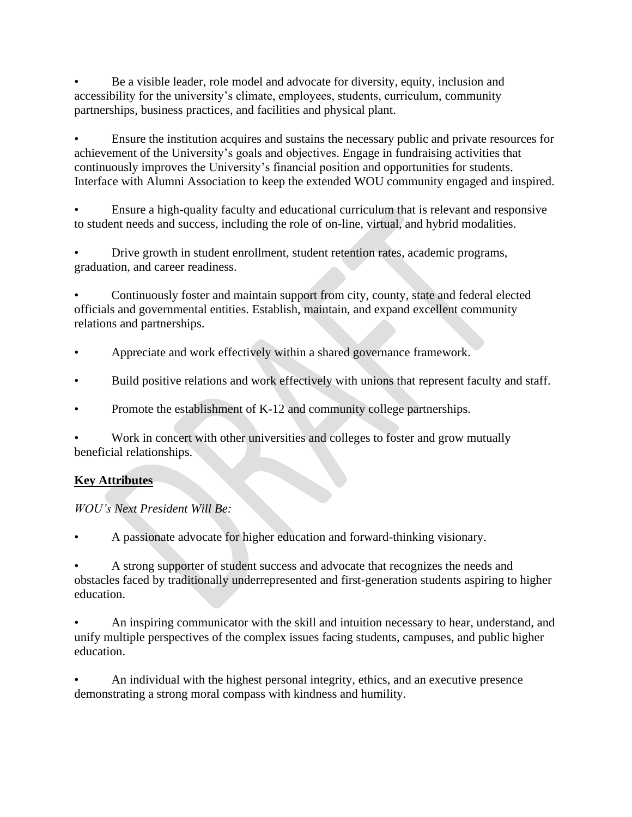• Be a visible leader, role model and advocate for diversity, equity, inclusion and accessibility for the university's climate, employees, students, curriculum, community partnerships, business practices, and facilities and physical plant.

• Ensure the institution acquires and sustains the necessary public and private resources for achievement of the University's goals and objectives. Engage in fundraising activities that continuously improves the University's financial position and opportunities for students. Interface with Alumni Association to keep the extended WOU community engaged and inspired.

• Ensure a high-quality faculty and educational curriculum that is relevant and responsive to student needs and success, including the role of on-line, virtual, and hybrid modalities.

• Drive growth in student enrollment, student retention rates, academic programs, graduation, and career readiness.

• Continuously foster and maintain support from city, county, state and federal elected officials and governmental entities. Establish, maintain, and expand excellent community relations and partnerships.

- Appreciate and work effectively within a shared governance framework.
- Build positive relations and work effectively with unions that represent faculty and staff.
- Promote the establishment of K-12 and community college partnerships.

• Work in concert with other universities and colleges to foster and grow mutually beneficial relationships.

# **Key Attributes**

## *WOU's Next President Will Be:*

• A passionate advocate for higher education and forward-thinking visionary.

• A strong supporter of student success and advocate that recognizes the needs and obstacles faced by traditionally underrepresented and first-generation students aspiring to higher education.

• An inspiring communicator with the skill and intuition necessary to hear, understand, and unify multiple perspectives of the complex issues facing students, campuses, and public higher education.

• An individual with the highest personal integrity, ethics, and an executive presence demonstrating a strong moral compass with kindness and humility.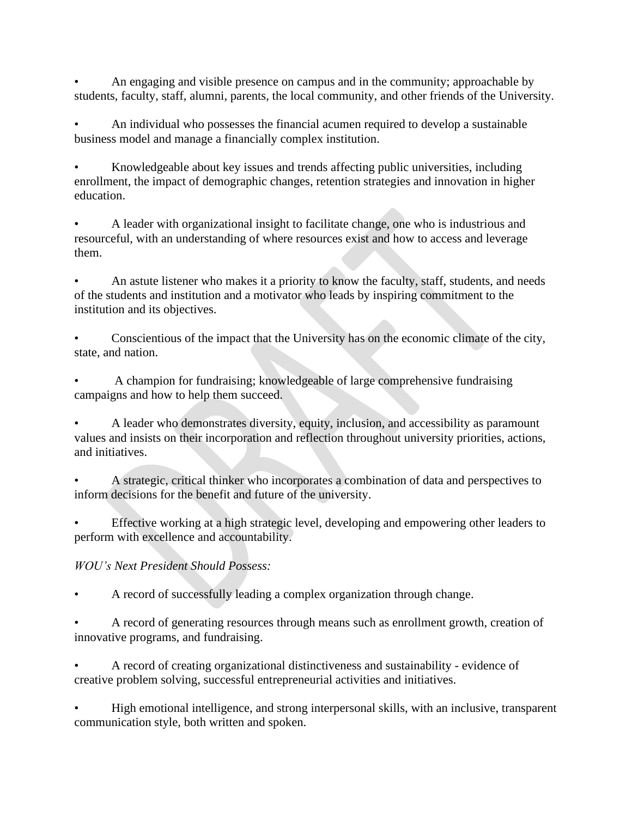• An engaging and visible presence on campus and in the community; approachable by students, faculty, staff, alumni, parents, the local community, and other friends of the University.

• An individual who possesses the financial acumen required to develop a sustainable business model and manage a financially complex institution.

• Knowledgeable about key issues and trends affecting public universities, including enrollment, the impact of demographic changes, retention strategies and innovation in higher education.

• A leader with organizational insight to facilitate change, one who is industrious and resourceful, with an understanding of where resources exist and how to access and leverage them.

• An astute listener who makes it a priority to know the faculty, staff, students, and needs of the students and institution and a motivator who leads by inspiring commitment to the institution and its objectives.

• Conscientious of the impact that the University has on the economic climate of the city, state, and nation.

• A champion for fundraising; knowledgeable of large comprehensive fundraising campaigns and how to help them succeed.

• A leader who demonstrates diversity, equity, inclusion, and accessibility as paramount values and insists on their incorporation and reflection throughout university priorities, actions, and initiatives.

• A strategic, critical thinker who incorporates a combination of data and perspectives to inform decisions for the benefit and future of the university.

• Effective working at a high strategic level, developing and empowering other leaders to perform with excellence and accountability.

# *WOU's Next President Should Possess:*

• A record of successfully leading a complex organization through change.

• A record of generating resources through means such as enrollment growth, creation of innovative programs, and fundraising.

• A record of creating organizational distinctiveness and sustainability - evidence of creative problem solving, successful entrepreneurial activities and initiatives.

• High emotional intelligence, and strong interpersonal skills, with an inclusive, transparent communication style, both written and spoken.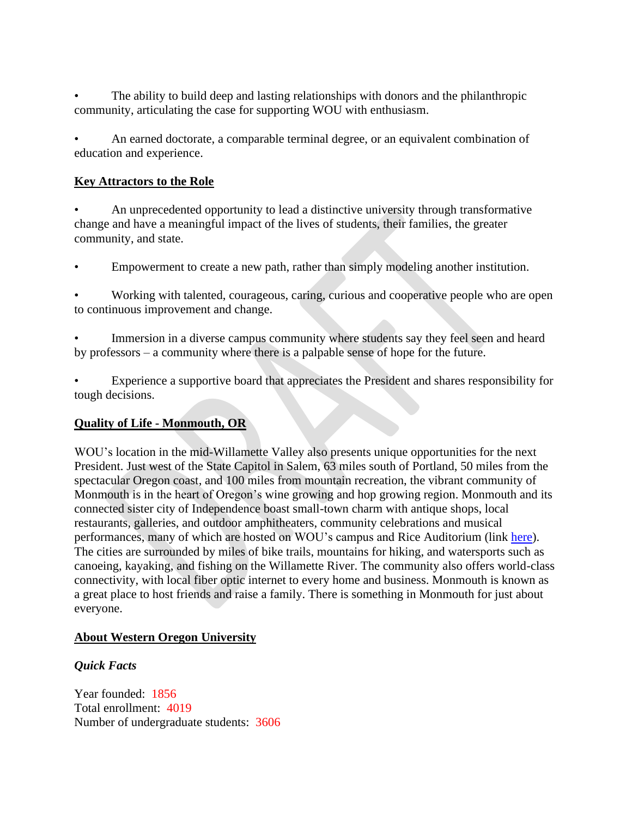The ability to build deep and lasting relationships with donors and the philanthropic community, articulating the case for supporting WOU with enthusiasm.

• An earned doctorate, a comparable terminal degree, or an equivalent combination of education and experience.

### **Key Attractors to the Role**

• An unprecedented opportunity to lead a distinctive university through transformative change and have a meaningful impact of the lives of students, their families, the greater community, and state.

• Empowerment to create a new path, rather than simply modeling another institution.

• Working with talented, courageous, caring, curious and cooperative people who are open to continuous improvement and change.

Immersion in a diverse campus community where students say they feel seen and heard by professors – a community where there is a palpable sense of hope for the future.

• Experience a supportive board that appreciates the President and shares responsibility for tough decisions.

### **Quality of Life - Monmouth, OR**

WOU's location in the mid-Willamette Valley also presents unique opportunities for the next President. Just west of the State Capitol in Salem, 63 miles south of Portland, 50 miles from the spectacular Oregon coast, and 100 miles from mountain recreation, the vibrant community of Monmouth is in the heart of Oregon's wine growing and hop growing region. Monmouth and its connected sister city of Independence boast small-town charm with antique shops, local restaurants, galleries, and outdoor amphitheaters, community celebrations and musical performances, many of which are hosted on WOU's campus and Rice Auditorium (link [here\)](https://wou.edu/creativearts/). The cities are surrounded by miles of bike trails, mountains for hiking, and watersports such as canoeing, kayaking, and fishing on the Willamette River. The community also offers world-class connectivity, with local fiber optic internet to every home and business. Monmouth is known as a great place to host friends and raise a family. There is something in Monmouth for just about everyone.

### **About Western Oregon University**

## *Quick Facts*

Year founded: 1856 Total enrollment: 4019 Number of undergraduate students: 3606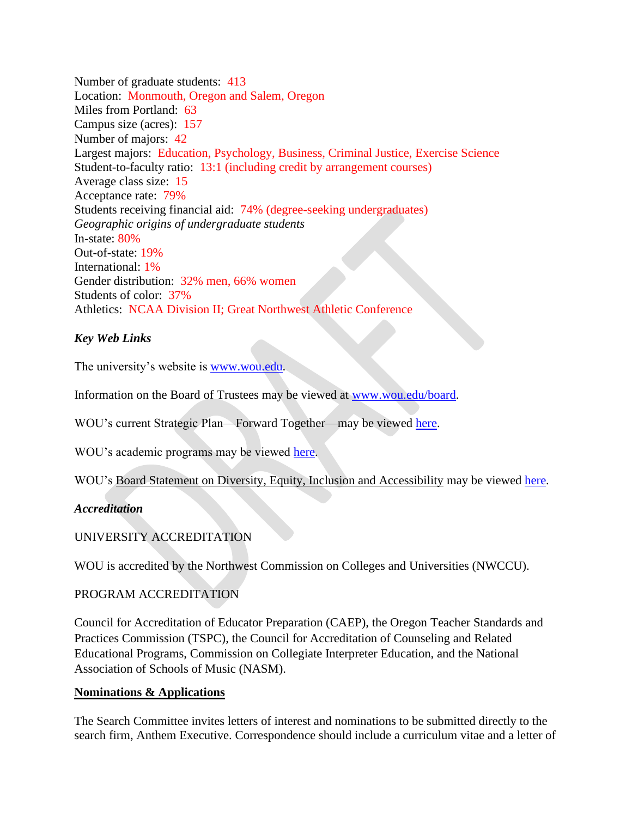Number of graduate students: 413 Location: Monmouth, Oregon and Salem, Oregon Miles from Portland: 63 Campus size (acres): 157 Number of majors: 42 Largest majors: Education, Psychology, Business, Criminal Justice, Exercise Science Student-to-faculty ratio: 13:1 (including credit by arrangement courses) Average class size: 15 Acceptance rate: 79% Students receiving financial aid: 74% (degree-seeking undergraduates) *Geographic origins of undergraduate students*  In-state: 80% Out-of-state: 19% International: 1% Gender distribution: 32% men, 66% women Students of color: 37% Athletics: NCAA Division II; Great Northwest Athletic Conference

### *Key Web Links*

The university's website is [www.wou.edu.](http://www.wou.edu/)

Information on the Board of Trustees may be viewed at [www.wou.edu/board.](http://www.wou.edu/board)

WOU's current Strategic Plan—Forward Together—may be viewed [here.](https://wou.edu/planning/files/2016/05/Forward-together-booklet-web.pdf)

WOU's academic programs may be viewed [here.](https://wou.edu/academics/#alphabetically)

WOU's Board Statement on Diversity, Equity, Inclusion and Accessibility may be viewed [here.](https://wou.edu/board/files/2021/05/Board-Statement-on-Diversity-Inclusion-Equity-and-Accessibility-042121.pdf)

#### *Accreditation*

### UNIVERSITY ACCREDITATION

WOU is accredited by the Northwest Commission on Colleges and Universities (NWCCU).

### PROGRAM ACCREDITATION

Council for Accreditation of Educator Preparation (CAEP), the Oregon Teacher Standards and Practices Commission (TSPC), the Council for Accreditation of Counseling and Related Educational Programs, Commission on Collegiate Interpreter Education, and the National Association of Schools of Music (NASM).

#### **Nominations & Applications**

The Search Committee invites letters of interest and nominations to be submitted directly to the search firm, Anthem Executive. Correspondence should include a curriculum vitae and a letter of